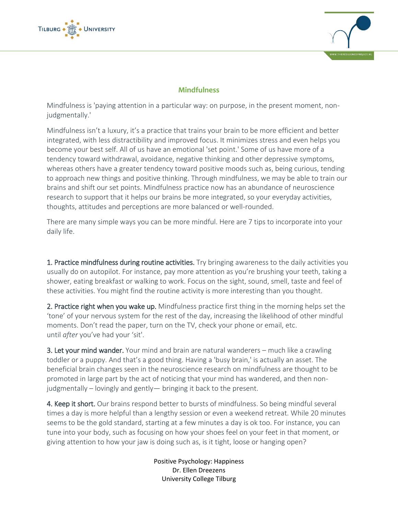



## **Mindfulness**

Mindfulness is 'paying attention in a particular way: on purpose, in the present moment, nonjudgmentally.'

Mindfulness isn't a luxury, it's a practice that trains your brain to be more efficient and better integrated, with less distractibility and improved focus. It minimizes stress and even helps you become your best self. All of us have an emotional 'set point.' Some of us have more of a tendency toward withdrawal, avoidance, negative thinking and other depressive symptoms, whereas others have a greater tendency toward positive moods such as, being curious, tending to approach new things and positive thinking. Through mindfulness, we may be able to train our brains and shift our set points. Mindfulness practice now has an abundance of neuroscience research to support that it helps our brains be more integrated, so your everyday activities, thoughts, attitudes and perceptions are more balanced or well-rounded.

There are many simple ways you can be more mindful. Here are 7 tips to incorporate into your daily life.

1. Practice mindfulness during routine activities. Try bringing awareness to the daily activities you usually do on autopilot. For instance, pay more attention as you're brushing your teeth, taking a shower, eating breakfast or walking to work. Focus on the sight, sound, smell, taste and feel of these activities. You might find the routine activity is more interesting than you thought.

2. Practice right when you wake up. Mindfulness practice first thing in the morning helps set the 'tone' of your nervous system for the rest of the day, increasing the likelihood of other mindful moments. Don't read the paper, turn on the TV, check your phone or email, etc. until *after* you've had your 'sit'.

3. Let your mind wander. Your mind and brain are natural wanderers – much like a crawling toddler or a puppy. And that's a good thing. Having a 'busy brain,' is actually an asset. The beneficial brain changes seen in the neuroscience research on mindfulness are thought to be promoted in large part by the act of noticing that your mind has wandered, and then nonjudgmentally – lovingly and gently— bringing it back to the present.

4. Keep it short. Our brains respond better to bursts of mindfulness. So being mindful several times a day is more helpful than a lengthy session or even a weekend retreat. While 20 minutes seems to be the gold standard, starting at a few minutes a day is ok too. For instance, you can tune into your body, such as focusing on how your shoes feel on your feet in that moment, or giving attention to how your jaw is doing such as, is it tight, loose or hanging open?

> Positive Psychology: Happiness Dr. Ellen Dreezens University College Tilburg